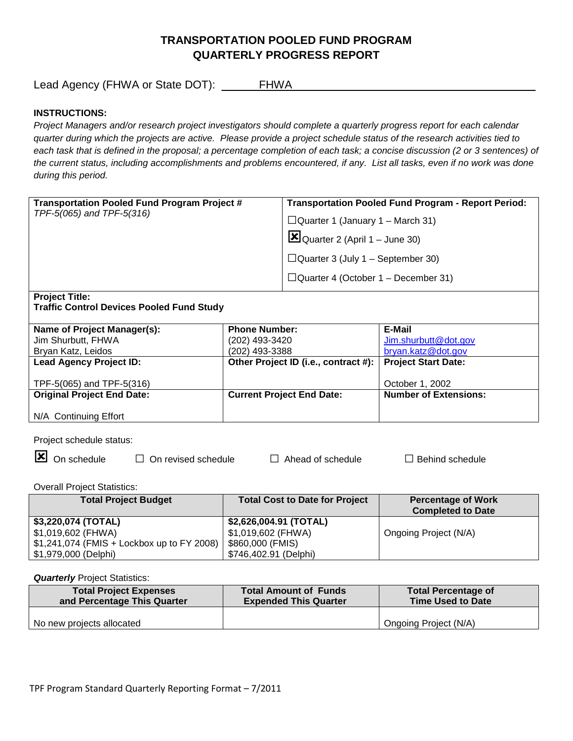# **TRANSPORTATION POOLED FUND PROGRAM QUARTERLY PROGRESS REPORT**

Lead Agency (FHWA or State DOT): \_\_\_\_\_\_FHWA\_\_\_\_\_\_\_\_\_\_\_\_\_\_\_\_\_\_\_\_\_\_\_\_\_\_\_\_\_\_\_\_\_\_\_\_\_\_\_

### **INSTRUCTIONS:**

*Project Managers and/or research project investigators should complete a quarterly progress report for each calendar quarter during which the projects are active. Please provide a project schedule status of the research activities tied to*  each task that is defined in the proposal; a percentage completion of each task; a concise discussion (2 or 3 sentences) of *the current status, including accomplishments and problems encountered, if any. List all tasks, even if no work was done during this period.*

| <b>Transportation Pooled Fund Program Project #</b><br>TPF-5(065) and TPF-5(316) |                      | <b>Transportation Pooled Fund Program - Report Period:</b> |                              |  |
|----------------------------------------------------------------------------------|----------------------|------------------------------------------------------------|------------------------------|--|
|                                                                                  |                      | $\Box$ Quarter 1 (January 1 – March 31)                    |                              |  |
|                                                                                  |                      | $\Xi$ Quarter 2 (April 1 – June 30)                        |                              |  |
|                                                                                  |                      | $\Box$ Quarter 3 (July 1 – September 30)                   |                              |  |
|                                                                                  |                      | $\Box$ Quarter 4 (October 1 – December 31)                 |                              |  |
| <b>Project Title:</b>                                                            |                      |                                                            |                              |  |
| <b>Traffic Control Devices Pooled Fund Study</b>                                 |                      |                                                            |                              |  |
| Name of Project Manager(s):                                                      | <b>Phone Number:</b> |                                                            | E-Mail                       |  |
| Jim Shurbutt, FHWA                                                               | (202) 493-3420       |                                                            | Jim.shurbutt@dot.gov         |  |
| Bryan Katz, Leidos                                                               | (202) 493-3388       |                                                            | bryan.katz@dot.gov           |  |
| <b>Lead Agency Project ID:</b>                                                   |                      | Other Project ID (i.e., contract #):                       | <b>Project Start Date:</b>   |  |
| TPF-5(065) and TPF-5(316)                                                        |                      |                                                            | October 1, 2002              |  |
| <b>Original Project End Date:</b>                                                |                      | <b>Current Project End Date:</b>                           | <b>Number of Extensions:</b> |  |
| N/A Continuing Effort                                                            |                      |                                                            |                              |  |
|                                                                                  |                      |                                                            |                              |  |

Project schedule status:

 $\boxed{\mathbf{x}}$  On schedule  $\Box$  On revised schedule  $\Box$  Ahead of schedule  $\Box$  Behind schedule

Overall Project Statistics:

| <b>Total Project Budget</b>                 | <b>Total Cost to Date for Project</b> | <b>Percentage of Work</b> |
|---------------------------------------------|---------------------------------------|---------------------------|
|                                             |                                       | <b>Completed to Date</b>  |
| \$3,220,074 (TOTAL)                         | \$2,626,004.91 (TOTAL)                |                           |
| \$1,019,602 (FHWA)                          | \$1,019,602 (FHWA)                    | Ongoing Project (N/A)     |
| $$1,241,074$ (FMIS + Lockbox up to FY 2008) | \$860,000 (FMIS)                      |                           |
| \$1,979,000 (Delphi)                        | \$746,402.91 (Delphi)                 |                           |

#### **Quarterly** Project Statistics:

| <b>Total Project Expenses</b> | <b>Total Amount of Funds</b> | <b>Total Percentage of</b> |
|-------------------------------|------------------------------|----------------------------|
| and Percentage This Quarter   | <b>Expended This Quarter</b> | <b>Time Used to Date</b>   |
| No new projects allocated     |                              | Ongoing Project (N/A)      |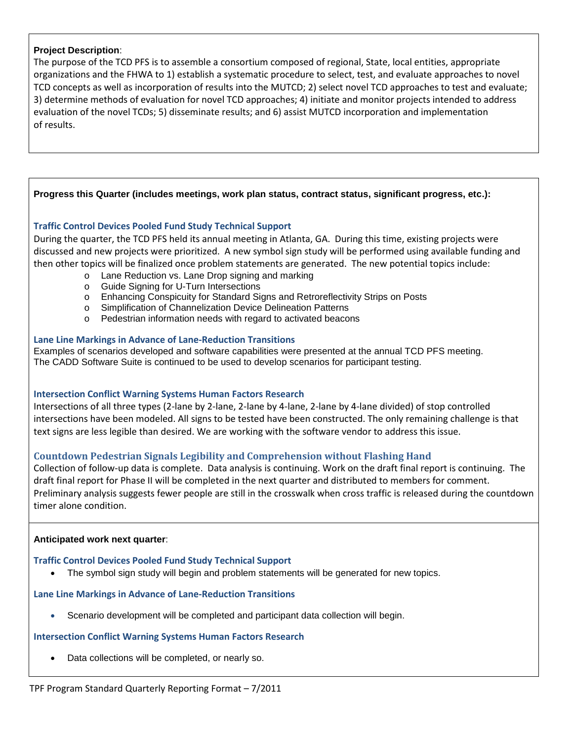### **Project Description**:

The purpose of the TCD PFS is to assemble a consortium composed of regional, State, local entities, appropriate organizations and the FHWA to 1) establish a systematic procedure to select, test, and evaluate approaches to novel TCD concepts as well as incorporation of results into the MUTCD; 2) select novel TCD approaches to test and evaluate; 3) determine methods of evaluation for novel TCD approaches; 4) initiate and monitor projects intended to address evaluation of the novel TCDs; 5) disseminate results; and 6) assist MUTCD incorporation and implementation of results.

### **Progress this Quarter (includes meetings, work plan status, contract status, significant progress, etc.):**

### **Traffic Control Devices Pooled Fund Study Technical Support**

During the quarter, the TCD PFS held its annual meeting in Atlanta, GA. During this time, existing projects were discussed and new projects were prioritized. A new symbol sign study will be performed using available funding and then other topics will be finalized once problem statements are generated. The new potential topics include:

- o Lane Reduction vs. Lane Drop signing and marking
- o Guide Signing for U-Turn Intersections
- o Enhancing Conspicuity for Standard Signs and Retroreflectivity Strips on Posts
- o Simplification of Channelization Device Delineation Patterns
- o Pedestrian information needs with regard to activated beacons

#### **Lane Line Markings in Advance of Lane-Reduction Transitions**

Examples of scenarios developed and software capabilities were presented at the annual TCD PFS meeting. The CADD Software Suite is continued to be used to develop scenarios for participant testing.

#### **Intersection Conflict Warning Systems Human Factors Research**

Intersections of all three types (2-lane by 2-lane, 2-lane by 4-lane, 2-lane by 4-lane divided) of stop controlled intersections have been modeled. All signs to be tested have been constructed. The only remaining challenge is that text signs are less legible than desired. We are working with the software vendor to address this issue.

### **Countdown Pedestrian Signals Legibility and Comprehension without Flashing Hand**

Collection of follow-up data is complete. Data analysis is continuing. Work on the draft final report is continuing. The draft final report for Phase II will be completed in the next quarter and distributed to members for comment. Preliminary analysis suggests fewer people are still in the crosswalk when cross traffic is released during the countdown timer alone condition.

#### **Anticipated work next quarter**:

# **Traffic Control Devices Pooled Fund Study Technical Support**

• The symbol sign study will begin and problem statements will be generated for new topics.

# **Lane Line Markings in Advance of Lane-Reduction Transitions**

• Scenario development will be completed and participant data collection will begin.

# **Intersection Conflict Warning Systems Human Factors Research**

• Data collections will be completed, or nearly so.